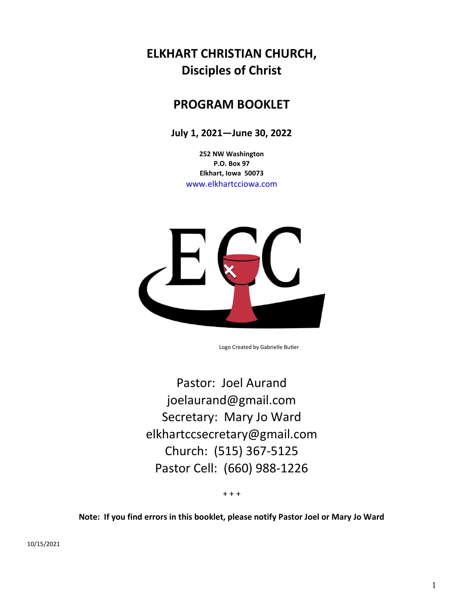# ELKHART CHRISTIAN CHURCH, Disciples of Christ

# PROGRAM BOOKLET

July 1, 2021—June 30, 2022

252 NW Washington P.O. Box 97 Elkhart, Iowa 50073 www.elkhartcciowa.com



Logo Created by Gabrielle Butler

Pastor: Joel Aurand joelaurand@gmail.com Secretary: Mary Jo Ward elkhartccsecretary@gmail.com Church: (515) 367-5125 Pastor Cell: (660) 988-1226

 $+ + +$ 

Note: If you find errors in this booklet, please notify Pastor Joel or Mary Jo Ward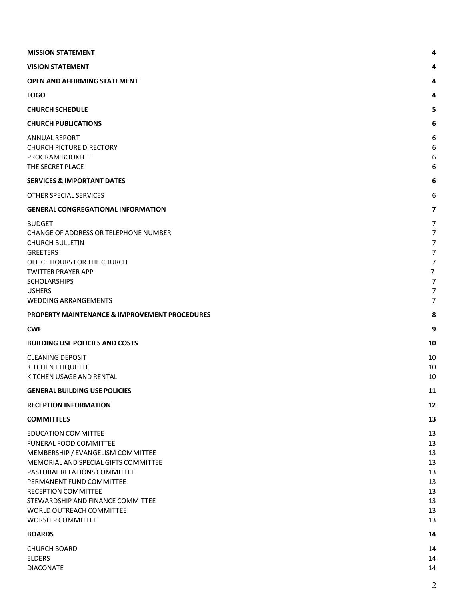| <b>MISSION STATEMENT</b>                                                                                                                                                                                                                                                                                                 | 4                                                                                                                                                 |
|--------------------------------------------------------------------------------------------------------------------------------------------------------------------------------------------------------------------------------------------------------------------------------------------------------------------------|---------------------------------------------------------------------------------------------------------------------------------------------------|
| <b>VISION STATEMENT</b>                                                                                                                                                                                                                                                                                                  | 4                                                                                                                                                 |
| <b>OPEN AND AFFIRMING STATEMENT</b>                                                                                                                                                                                                                                                                                      | 4                                                                                                                                                 |
| <b>LOGO</b>                                                                                                                                                                                                                                                                                                              | 4                                                                                                                                                 |
| <b>CHURCH SCHEDULE</b>                                                                                                                                                                                                                                                                                                   | 5                                                                                                                                                 |
| <b>CHURCH PUBLICATIONS</b>                                                                                                                                                                                                                                                                                               | 6                                                                                                                                                 |
| <b>ANNUAL REPORT</b><br><b>CHURCH PICTURE DIRECTORY</b><br>PROGRAM BOOKLET<br>THE SECRET PLACE                                                                                                                                                                                                                           | 6<br>6<br>6<br>6                                                                                                                                  |
| <b>SERVICES &amp; IMPORTANT DATES</b>                                                                                                                                                                                                                                                                                    | 6                                                                                                                                                 |
| OTHER SPECIAL SERVICES                                                                                                                                                                                                                                                                                                   | 6                                                                                                                                                 |
| <b>GENERAL CONGREGATIONAL INFORMATION</b>                                                                                                                                                                                                                                                                                | $\overline{7}$                                                                                                                                    |
| <b>BUDGET</b><br>CHANGE OF ADDRESS OR TELEPHONE NUMBER<br><b>CHURCH BULLETIN</b><br><b>GREETERS</b><br>OFFICE HOURS FOR THE CHURCH<br><b>TWITTER PRAYER APP</b><br><b>SCHOLARSHIPS</b><br><b>USHERS</b><br><b>WEDDING ARRANGEMENTS</b>                                                                                   | 7<br>$\overline{7}$<br>$\overline{7}$<br>$\overline{7}$<br>$\overline{7}$<br>$\overline{7}$<br>$\overline{7}$<br>$\overline{7}$<br>$\overline{7}$ |
| <b>PROPERTY MAINTENANCE &amp; IMPROVEMENT PROCEDURES</b>                                                                                                                                                                                                                                                                 | 8                                                                                                                                                 |
| <b>CWF</b>                                                                                                                                                                                                                                                                                                               | 9                                                                                                                                                 |
| <b>BUILDING USE POLICIES AND COSTS</b>                                                                                                                                                                                                                                                                                   | 10                                                                                                                                                |
|                                                                                                                                                                                                                                                                                                                          | 10                                                                                                                                                |
| <b>CLEANING DEPOSIT</b><br>KITCHEN ETIQUETTE<br>KITCHEN USAGE AND RENTAL                                                                                                                                                                                                                                                 | 10<br>10                                                                                                                                          |
| <b>GENERAL BUILDING USE POLICIES</b>                                                                                                                                                                                                                                                                                     | 11                                                                                                                                                |
| <b>RECEPTION INFORMATION</b>                                                                                                                                                                                                                                                                                             | 12                                                                                                                                                |
| <b>COMMITTEES</b>                                                                                                                                                                                                                                                                                                        | 13                                                                                                                                                |
| <b>EDUCATION COMMITTEE</b><br>FUNERAL FOOD COMMITTEE<br>MEMBERSHIP / EVANGELISM COMMITTEE<br>MEMORIAL AND SPECIAL GIFTS COMMITTEE<br>PASTORAL RELATIONS COMMITTEE<br>PERMANENT FUND COMMITTEE<br><b>RECEPTION COMMITTEE</b><br>STEWARDSHIP AND FINANCE COMMITTEE<br>WORLD OUTREACH COMMITTEE<br><b>WORSHIP COMMITTEE</b> | 13<br>13<br>13<br>13<br>13<br>13<br>13<br>13<br>13<br>13                                                                                          |
| <b>BOARDS</b>                                                                                                                                                                                                                                                                                                            | 14                                                                                                                                                |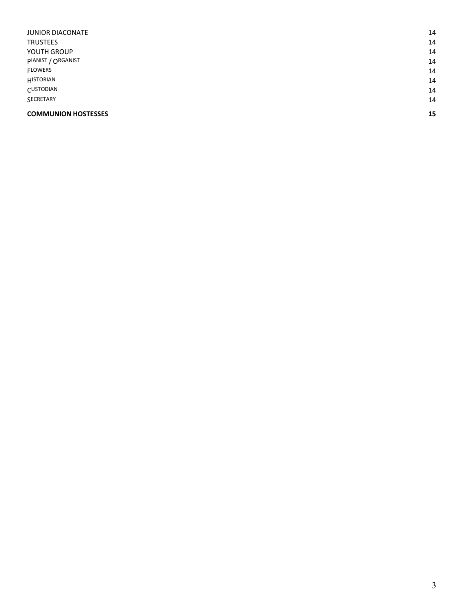| <b>COMMUNION HOSTESSES</b> | 15 |
|----------------------------|----|
| SECRETARY                  | 14 |
| CUSTODIAN                  | 14 |
| HISTORIAN                  | 14 |
| <b>FLOWERS</b>             | 14 |
| PIANIST / ORGANIST         | 14 |
| YOUTH GROUP                | 14 |
| <b>TRUSTEES</b>            | 14 |
| <b>JUNIOR DIACONATE</b>    | 14 |
|                            |    |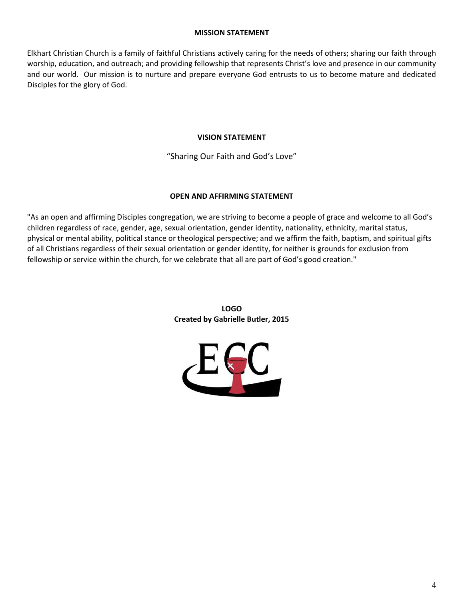### MISSION STATEMENT

Elkhart Christian Church is a family of faithful Christians actively caring for the needs of others; sharing our faith through worship, education, and outreach; and providing fellowship that represents Christ's love and presence in our community and our world. Our mission is to nurture and prepare everyone God entrusts to us to become mature and dedicated Disciples for the glory of God.

## VISION STATEMENT

"Sharing Our Faith and God's Love"

# OPEN AND AFFIRMING STATEMENT

"As an open and affirming Disciples congregation, we are striving to become a people of grace and welcome to all God's children regardless of race, gender, age, sexual orientation, gender identity, nationality, ethnicity, marital status, physical or mental ability, political stance or theological perspective; and we affirm the faith, baptism, and spiritual gifts of all Christians regardless of their sexual orientation or gender identity, for neither is grounds for exclusion from fellowship or service within the church, for we celebrate that all are part of God's good creation."

LOGO Created by Gabrielle Butler, 2015

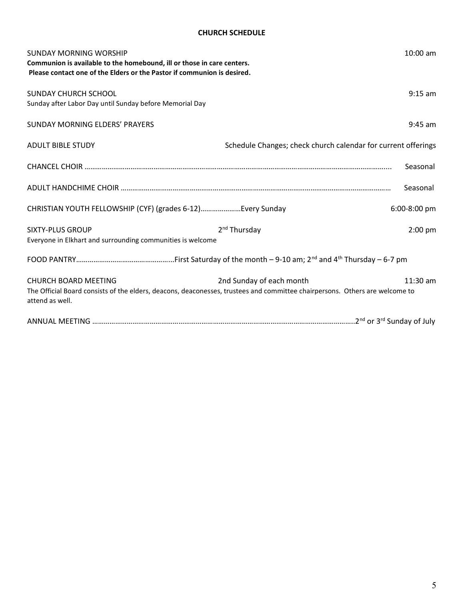# CHURCH SCHEDULE

| <b>SUNDAY MORNING WORSHIP</b><br>Communion is available to the homebound, ill or those in care centers.<br>Please contact one of the Elders or the Pastor if communion is desired. |                                                                                                                                                         | $10:00$ am |
|------------------------------------------------------------------------------------------------------------------------------------------------------------------------------------|---------------------------------------------------------------------------------------------------------------------------------------------------------|------------|
| SUNDAY CHURCH SCHOOL<br>Sunday after Labor Day until Sunday before Memorial Day                                                                                                    |                                                                                                                                                         | $9:15$ am  |
| SUNDAY MORNING ELDERS' PRAYERS                                                                                                                                                     |                                                                                                                                                         | $9:45$ am  |
| <b>ADULT BIBLE STUDY</b>                                                                                                                                                           | Schedule Changes; check church calendar for current offerings                                                                                           |            |
|                                                                                                                                                                                    |                                                                                                                                                         | Seasonal   |
|                                                                                                                                                                                    |                                                                                                                                                         | Seasonal   |
| CHRISTIAN YOUTH FELLOWSHIP (CYF) (grades 6-12)Every Sunday                                                                                                                         | 6:00-8:00 pm                                                                                                                                            |            |
| <b>SIXTY-PLUS GROUP</b><br>Everyone in Elkhart and surrounding communities is welcome                                                                                              | 2 <sup>nd</sup> Thursday                                                                                                                                | $2:00$ pm  |
|                                                                                                                                                                                    |                                                                                                                                                         |            |
| CHURCH BOARD MEETING<br>attend as well.                                                                                                                                            | 2nd Sunday of each month<br>The Official Board consists of the elders, deacons, deaconesses, trustees and committee chairpersons. Others are welcome to | $11:30$ am |
|                                                                                                                                                                                    |                                                                                                                                                         |            |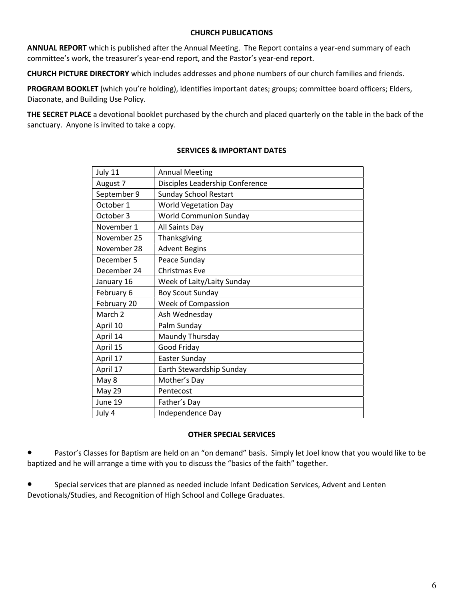# CHURCH PUBLICATIONS

ANNUAL REPORT which is published after the Annual Meeting. The Report contains a year-end summary of each committee's work, the treasurer's year-end report, and the Pastor's year-end report.

CHURCH PICTURE DIRECTORY which includes addresses and phone numbers of our church families and friends.

PROGRAM BOOKLET (which you're holding), identifies important dates; groups; committee board officers; Elders, Diaconate, and Building Use Policy.

THE SECRET PLACE a devotional booklet purchased by the church and placed quarterly on the table in the back of the sanctuary. Anyone is invited to take a copy.

| July 11     | <b>Annual Meeting</b>           |
|-------------|---------------------------------|
| August 7    | Disciples Leadership Conference |
| September 9 | <b>Sunday School Restart</b>    |
| October 1   | <b>World Vegetation Day</b>     |
| October 3   | <b>World Communion Sunday</b>   |
| November 1  | All Saints Day                  |
| November 25 | Thanksgiving                    |
| November 28 | <b>Advent Begins</b>            |
| December 5  | Peace Sunday                    |
| December 24 | Christmas Eve                   |
| January 16  | Week of Laity/Laity Sunday      |
| February 6  | <b>Boy Scout Sunday</b>         |
| February 20 | Week of Compassion              |
| March 2     | Ash Wednesday                   |
| April 10    | Palm Sunday                     |
| April 14    | Maundy Thursday                 |
| April 15    | Good Friday                     |
| April 17    | Easter Sunday                   |
| April 17    | Earth Stewardship Sunday        |
| May 8       | Mother's Day                    |
| May 29      | Pentecost                       |
| June 19     | Father's Day                    |
| July 4      | Independence Day                |

# SERVICES & IMPORTANT DATES

#### OTHER SPECIAL SERVICES

Pastor's Classes for Baptism are held on an "on demand" basis. Simply let Joel know that you would like to be baptized and he will arrange a time with you to discuss the "basics of the faith" together.

● Special services that are planned as needed include Infant Dedication Services, Advent and Lenten Devotionals/Studies, and Recognition of High School and College Graduates.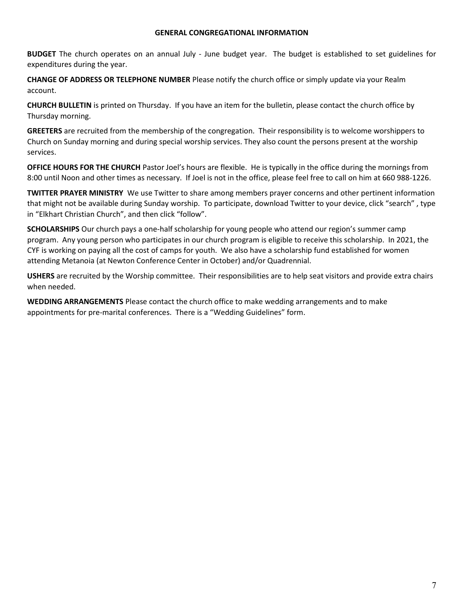#### GENERAL CONGREGATIONAL INFORMATION

BUDGET The church operates on an annual July - June budget year. The budget is established to set guidelines for expenditures during the year.

CHANGE OF ADDRESS OR TELEPHONE NUMBER Please notify the church office or simply update via your Realm account.

CHURCH BULLETIN is printed on Thursday. If you have an item for the bulletin, please contact the church office by Thursday morning.

GREETERS are recruited from the membership of the congregation. Their responsibility is to welcome worshippers to Church on Sunday morning and during special worship services. They also count the persons present at the worship services.

OFFICE HOURS FOR THE CHURCH Pastor Joel's hours are flexible. He is typically in the office during the mornings from 8:00 until Noon and other times as necessary. If Joel is not in the office, please feel free to call on him at 660 988-1226.

TWITTER PRAYER MINISTRY We use Twitter to share among members prayer concerns and other pertinent information that might not be available during Sunday worship. To participate, download Twitter to your device, click "search" , type in "Elkhart Christian Church", and then click "follow".

SCHOLARSHIPS Our church pays a one-half scholarship for young people who attend our region's summer camp program. Any young person who participates in our church program is eligible to receive this scholarship. In 2021, the CYF is working on paying all the cost of camps for youth. We also have a scholarship fund established for women attending Metanoia (at Newton Conference Center in October) and/or Quadrennial.

USHERS are recruited by the Worship committee. Their responsibilities are to help seat visitors and provide extra chairs when needed.

WEDDING ARRANGEMENTS Please contact the church office to make wedding arrangements and to make appointments for pre-marital conferences. There is a "Wedding Guidelines" form.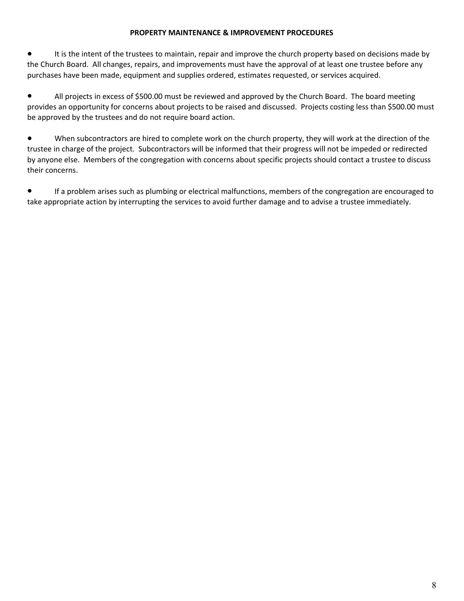# PROPERTY MAINTENANCE & IMPROVEMENT PROCEDURES

It is the intent of the trustees to maintain, repair and improve the church property based on decisions made by the Church Board. All changes, repairs, and improvements must have the approval of at least one trustee before any purchases have been made, equipment and supplies ordered, estimates requested, or services acquired.

● All projects in excess of \$500.00 must be reviewed and approved by the Church Board. The board meeting provides an opportunity for concerns about projects to be raised and discussed. Projects costing less than \$500.00 must be approved by the trustees and do not require board action.

● When subcontractors are hired to complete work on the church property, they will work at the direction of the trustee in charge of the project. Subcontractors will be informed that their progress will not be impeded or redirected by anyone else. Members of the congregation with concerns about specific projects should contact a trustee to discuss their concerns.

● If a problem arises such as plumbing or electrical malfunctions, members of the congregation are encouraged to take appropriate action by interrupting the services to avoid further damage and to advise a trustee immediately.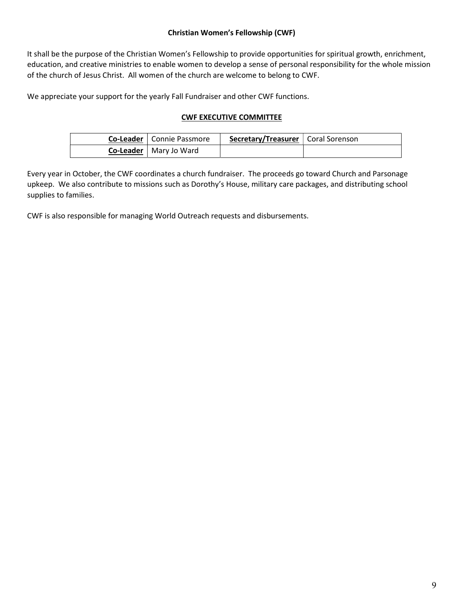# Christian Women's Fellowship (CWF)

It shall be the purpose of the Christian Women's Fellowship to provide opportunities for spiritual growth, enrichment, education, and creative ministries to enable women to develop a sense of personal responsibility for the whole mission of the church of Jesus Christ. All women of the church are welcome to belong to CWF.

We appreciate your support for the yearly Fall Fundraiser and other CWF functions.

# CWF EXECUTIVE COMMITTEE

| Co-Leader   Connie Passmore     | <b>Secretary/Treasurer</b>   Coral Sorenson |  |
|---------------------------------|---------------------------------------------|--|
| <b>Co-Leader</b>   Mary Jo Ward |                                             |  |

Every year in October, the CWF coordinates a church fundraiser. The proceeds go toward Church and Parsonage upkeep. We also contribute to missions such as Dorothy's House, military care packages, and distributing school supplies to families.

CWF is also responsible for managing World Outreach requests and disbursements.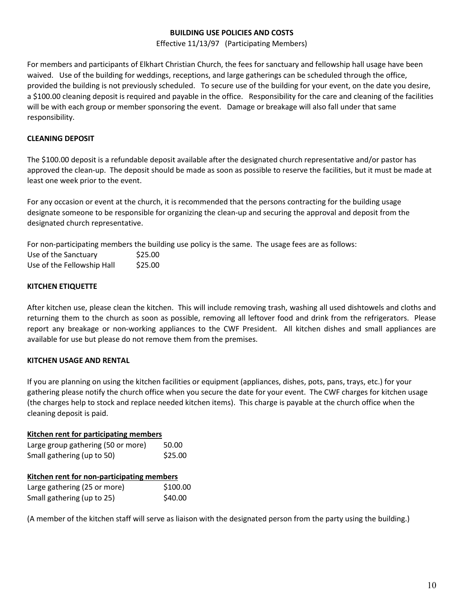# BUILDING USE POLICIES AND COSTS

Effective 11/13/97 (Participating Members)

For members and participants of Elkhart Christian Church, the fees for sanctuary and fellowship hall usage have been waived. Use of the building for weddings, receptions, and large gatherings can be scheduled through the office, provided the building is not previously scheduled. To secure use of the building for your event, on the date you desire, a \$100.00 cleaning deposit is required and payable in the office. Responsibility for the care and cleaning of the facilities will be with each group or member sponsoring the event. Damage or breakage will also fall under that same responsibility.

# CLEANING DEPOSIT

The \$100.00 deposit is a refundable deposit available after the designated church representative and/or pastor has approved the clean-up. The deposit should be made as soon as possible to reserve the facilities, but it must be made at least one week prior to the event.

For any occasion or event at the church, it is recommended that the persons contracting for the building usage designate someone to be responsible for organizing the clean-up and securing the approval and deposit from the designated church representative.

For non-participating members the building use policy is the same. The usage fees are as follows:

| Use of the Sanctuary       | \$25.00 |
|----------------------------|---------|
| Use of the Fellowship Hall | \$25.00 |

# KITCHEN ETIQUETTE

After kitchen use, please clean the kitchen. This will include removing trash, washing all used dishtowels and cloths and returning them to the church as soon as possible, removing all leftover food and drink from the refrigerators. Please report any breakage or non-working appliances to the CWF President. All kitchen dishes and small appliances are available for use but please do not remove them from the premises.

# KITCHEN USAGE AND RENTAL

If you are planning on using the kitchen facilities or equipment (appliances, dishes, pots, pans, trays, etc.) for your gathering please notify the church office when you secure the date for your event. The CWF charges for kitchen usage (the charges help to stock and replace needed kitchen items). This charge is payable at the church office when the cleaning deposit is paid.

### Kitchen rent for participating members

| Large group gathering (50 or more) | 50.00   |
|------------------------------------|---------|
| Small gathering (up to 50)         | \$25.00 |

# Kitchen rent for non-participating members

| Large gathering (25 or more) | \$100.00 |
|------------------------------|----------|
| Small gathering (up to 25)   | \$40.00  |

(A member of the kitchen staff will serve as liaison with the designated person from the party using the building.)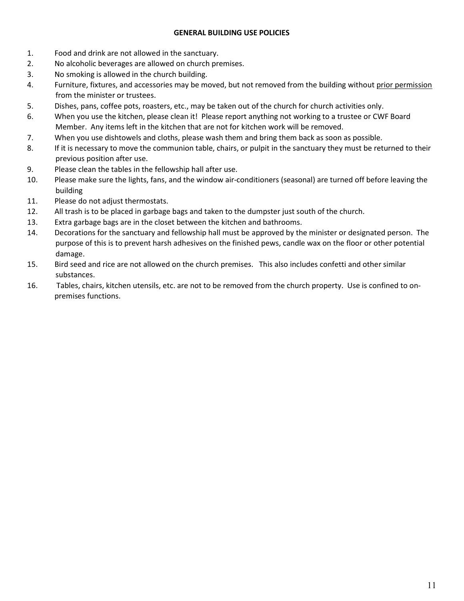## GENERAL BUILDING USE POLICIES

- 1. Food and drink are not allowed in the sanctuary.
- 2. No alcoholic beverages are allowed on church premises.
- 3. No smoking is allowed in the church building.
- 4. Furniture, fixtures, and accessories may be moved, but not removed from the building without prior permission from the minister or trustees.
- 5. Dishes, pans, coffee pots, roasters, etc., may be taken out of the church for church activities only.
- 6. When you use the kitchen, please clean it! Please report anything not working to a trustee or CWF Board Member. Any items left in the kitchen that are not for kitchen work will be removed.
- 7. When you use dishtowels and cloths, please wash them and bring them back as soon as possible.
- 8. If it is necessary to move the communion table, chairs, or pulpit in the sanctuary they must be returned to their previous position after use.
- 9. Please clean the tables in the fellowship hall after use.
- 10. Please make sure the lights, fans, and the window air-conditioners (seasonal) are turned off before leaving the building
- 11. Please do not adjust thermostats.
- 12. All trash is to be placed in garbage bags and taken to the dumpster just south of the church.
- 13. Extra garbage bags are in the closet between the kitchen and bathrooms.
- 14. Decorations for the sanctuary and fellowship hall must be approved by the minister or designated person. The purpose of this is to prevent harsh adhesives on the finished pews, candle wax on the floor or other potential damage.
- 15. Bird seed and rice are not allowed on the church premises. This also includes confetti and other similar substances.
- 16. Tables, chairs, kitchen utensils, etc. are not to be removed from the church property. Use is confined to onpremises functions.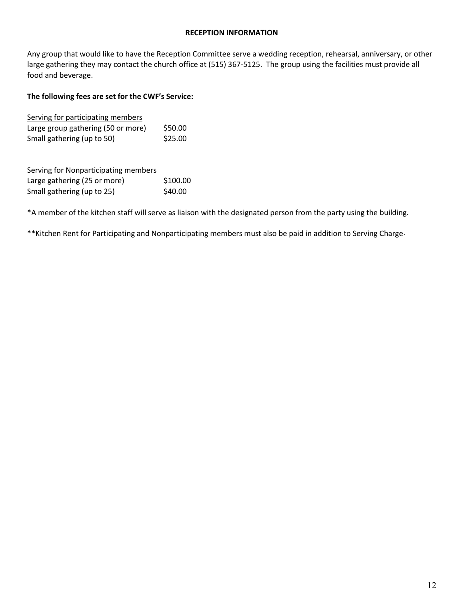Any group that would like to have the Reception Committee serve a wedding reception, rehearsal, anniversary, or other large gathering they may contact the church office at (515) 367-5125. The group using the facilities must provide all food and beverage.

# The following fees are set for the CWF's Service:

| Serving for participating members  |         |
|------------------------------------|---------|
| Large group gathering (50 or more) | \$50.00 |
| Small gathering (up to 50)         | \$25.00 |

| Serving for Nonparticipating members |          |
|--------------------------------------|----------|
| Large gathering (25 or more)         | \$100.00 |
| Small gathering (up to 25)           | \$40.00  |

\*A member of the kitchen staff will serve as liaison with the designated person from the party using the building.

\*\*Kitchen Rent for Participating and Nonparticipating members must also be paid in addition to Serving Charge.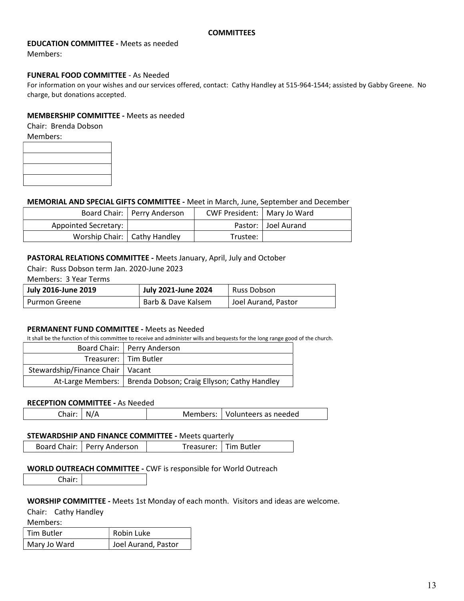### EDUCATION COMMITTEE - Meets as needed

Members:

#### FUNERAL FOOD COMMITTEE - As Needed

For information on your wishes and our services offered, contact: Cathy Handley at 515-964-1544; assisted by Gabby Greene. No charge, but donations accepted.

#### MEMBERSHIP COMMITTEE - Meets as needed

Chair: Brenda Dobson

Members:

### MEMORIAL AND SPECIAL GIFTS COMMITTEE - Meet in March, June, September and December

|                                | Board Chair:   Perry Anderson | CWF President:   Mary Jo Ward |                       |
|--------------------------------|-------------------------------|-------------------------------|-----------------------|
| Appointed Secretary:           |                               |                               | Pastor:   Joel Aurand |
| Worship Chair:   Cathy Handley |                               | Trustee:                      |                       |

#### PASTORAL RELATIONS COMMITTEE - Meets January, April, July and October

Chair: Russ Dobson term Jan. 2020-June 2023

Members: 3 Year Terms

| July 2016-June 2019  | July 2021-June 2024 | Russ Dobson         |
|----------------------|---------------------|---------------------|
| <b>Purmon Greene</b> | Barb & Dave Kalsem  | Joel Aurand, Pastor |

#### PERMANENT FUND COMMITTEE - Meets as Needed

It shall be the function of this committee to receive and administer wills and bequests for the long range good of the church.

|                                    | Board Chair:   Perry Anderson                                   |
|------------------------------------|-----------------------------------------------------------------|
|                                    | Treasurer:   Tim Butler                                         |
| Stewardship/Finance Chair   Vacant |                                                                 |
|                                    | At-Large Members:   Brenda Dobson; Craig Ellyson; Cathy Handley |

### RECEPTION COMMITTEE - As Needed

| Chair: $N/A$ | Members:   Volunteers as needed |
|--------------|---------------------------------|
|--------------|---------------------------------|

#### STEWARDSHIP AND FINANCE COMMITTEE - Meets quarterly

Board Chair: Perry Anderson | Treasurer: Tim Butler

#### WORLD OUTREACH COMMITTEE - CWF is responsible for World Outreach

Chair:

#### WORSHIP COMMITTEE - Meets 1st Monday of each month. Visitors and ideas are welcome.

Chair: Cathy Handley

Members:

| Tim Butler   | Robin Luke          |
|--------------|---------------------|
| Mary Jo Ward | Joel Aurand, Pastor |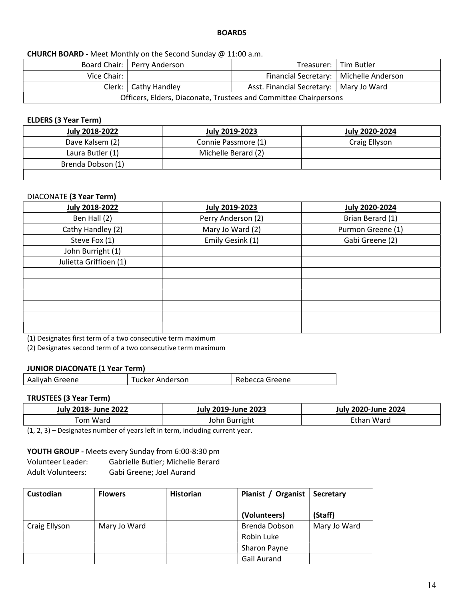### BOARDS

# CHURCH BOARD - Meet Monthly on the Second Sunday @ 11:00 a.m.

|                                                                     | Board Chair:   Perry Anderson |                                          | Treasurer:   Tim Butler |  |  |
|---------------------------------------------------------------------|-------------------------------|------------------------------------------|-------------------------|--|--|
| Vice Chair:                                                         |                               | Financial Secretary:   Michelle Anderson |                         |  |  |
| Clerk:   Cathy Handley<br>Asst. Financial Secretary:   Mary Jo Ward |                               |                                          |                         |  |  |
| Officers, Elders, Diaconate, Trustees and Committee Chairpersons    |                               |                                          |                         |  |  |

#### ELDERS (3 Year Term)

| July 2018-2022    | July 2019-2023      | July 2020-2024 |
|-------------------|---------------------|----------------|
| Dave Kalsem (2)   | Connie Passmore (1) | Craig Ellyson  |
| Laura Butler (1)  | Michelle Berard (2) |                |
| Brenda Dobson (1) |                     |                |
|                   |                     |                |

### DIACONATE (3 Year Term)

| July 2018-2022         | <b>July 2019-2023</b> | <b>July 2020-2024</b> |
|------------------------|-----------------------|-----------------------|
| Ben Hall (2)           | Perry Anderson (2)    | Brian Berard (1)      |
| Cathy Handley (2)      | Mary Jo Ward (2)      | Purmon Greene (1)     |
| Steve Fox (1)          | Emily Gesink (1)      | Gabi Greene (2)       |
| John Burright (1)      |                       |                       |
| Julietta Griffioen (1) |                       |                       |
|                        |                       |                       |
|                        |                       |                       |
|                        |                       |                       |
|                        |                       |                       |
|                        |                       |                       |
|                        |                       |                       |

(1) Designates first term of a two consecutive term maximum

(2) Designates second term of a two consecutive term maximum

#### JUNIOR DIACONATE (1 Year Term)

| Aaliyah Greene | Tucker Anderson | Rebecca Greene |
|----------------|-----------------|----------------|
|                |                 |                |

# TRUSTEES (3 Year Term)

| July 2018- June 2022 | <b>July 2019-June 2023</b> | 2020-June 2024<br>July |
|----------------------|----------------------------|------------------------|
| fom Ward             | <b>Burright</b><br>John    | Ethan Ward             |

(1, 2, 3) – Designates number of years left in term, including current year.

#### YOUTH GROUP - Meets every Sunday from 6:00-8:30 pm

Volunteer Leader: Gabrielle Butler; Michelle Berard

Adult Volunteers: Gabi Greene; Joel Aurand

| Custodian     | <b>Flowers</b> | <b>Historian</b> | Pianist / Organist | <b>Secretary</b> |
|---------------|----------------|------------------|--------------------|------------------|
|               |                |                  | (Volunteers)       | (Staff)          |
| Craig Ellyson | Mary Jo Ward   |                  | Brenda Dobson      | Mary Jo Ward     |
|               |                |                  | Robin Luke         |                  |
|               |                |                  | Sharon Payne       |                  |
|               |                |                  | Gail Aurand        |                  |